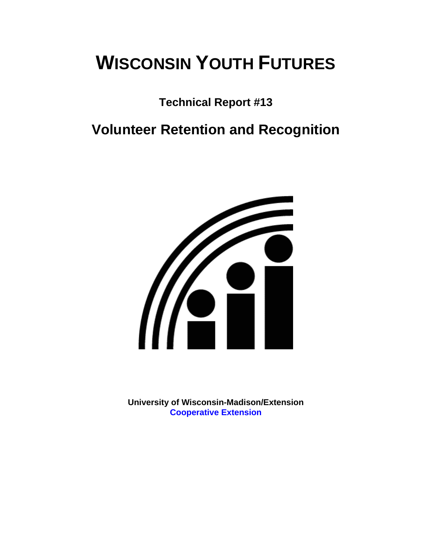# **WISCONSIN YOUTH FUTURES**

**Technical Report #13** 

# **Volunteer Retention and Recognition**



**University of Wisconsin-Madison/Extension [Cooperative Extension](http://www1.uwex.edu/ces/index.cfm)**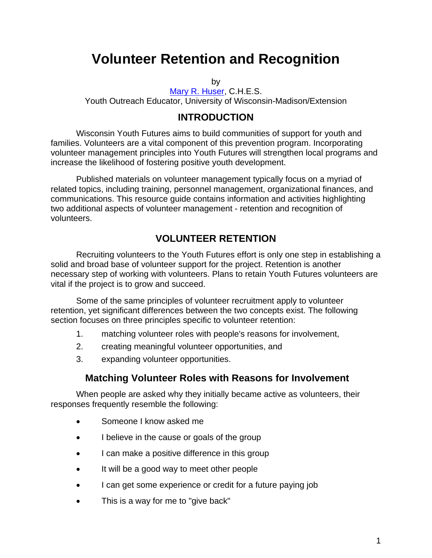# **Volunteer Retention and Recognition**

by

[Mary R. Huser](http://www.uwex.edu/ces/flp/specialists/huser.html), C.H.E.S.

Youth Outreach Educator, University of Wisconsin-Madison/Extension

### **INTRODUCTION**

Wisconsin Youth Futures aims to build communities of support for youth and families. Volunteers are a vital component of this prevention program. Incorporating volunteer management principles into Youth Futures will strengthen local programs and increase the likelihood of fostering positive youth development.

Published materials on volunteer management typically focus on a myriad of related topics, including training, personnel management, organizational finances, and communications. This resource guide contains information and activities highlighting two additional aspects of volunteer management - retention and recognition of volunteers.

### **VOLUNTEER RETENTION**

Recruiting volunteers to the Youth Futures effort is only one step in establishing a solid and broad base of volunteer support for the project. Retention is another necessary step of working with volunteers. Plans to retain Youth Futures volunteers are vital if the project is to grow and succeed.

Some of the same principles of volunteer recruitment apply to volunteer retention, yet significant differences between the two concepts exist. The following section focuses on three principles specific to volunteer retention:

- 1. matching volunteer roles with people's reasons for involvement,
- 2. creating meaningful volunteer opportunities, and
- 3. expanding volunteer opportunities.

#### **Matching Volunteer Roles with Reasons for Involvement**

When people are asked why they initially became active as volunteers, their responses frequently resemble the following:

- Someone I know asked me
- I believe in the cause or goals of the group
- I can make a positive difference in this group
- It will be a good way to meet other people
- I can get some experience or credit for a future paying job
- This is a way for me to "give back"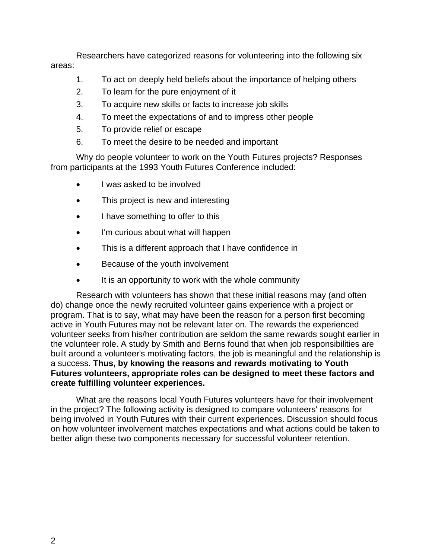Researchers have categorized reasons for volunteering into the following six areas:

- 1. To act on deeply held beliefs about the importance of helping others
- 2. To learn for the pure enjoyment of it
- 3. To acquire new skills or facts to increase job skills
- 4. To meet the expectations of and to impress other people
- 5. To provide relief or escape
- 6. To meet the desire to be needed and important

Why do people volunteer to work on the Youth Futures projects? Responses from participants at the 1993 Youth Futures Conference included:

- I was asked to be involved
- This project is new and interesting
- I have something to offer to this
- I'm curious about what will happen
- This is a different approach that I have confidence in
- Because of the youth involvement
- It is an opportunity to work with the whole community

Research with volunteers has shown that these initial reasons may (and often do) change once the newly recruited volunteer gains experience with a project or program. That is to say, what may have been the reason for a person first becoming active in Youth Futures may not be relevant later on. The rewards the experienced volunteer seeks from his/her contribution are seldom the same rewards sought earlier in the volunteer role. A study by Smith and Berns found that when job responsibilities are built around a volunteer's motivating factors, the job is meaningful and the relationship is a success. **Thus, by knowing the reasons and rewards motivating to Youth Futures volunteers, appropriate roles can be designed to meet these factors and create fulfilling volunteer experiences.** 

What are the reasons local Youth Futures volunteers have for their involvement in the project? The following activity is designed to compare volunteers' reasons for being involved in Youth Futures with their current experiences. Discussion should focus on how volunteer involvement matches expectations and what actions could be taken to better align these two components necessary for successful volunteer retention.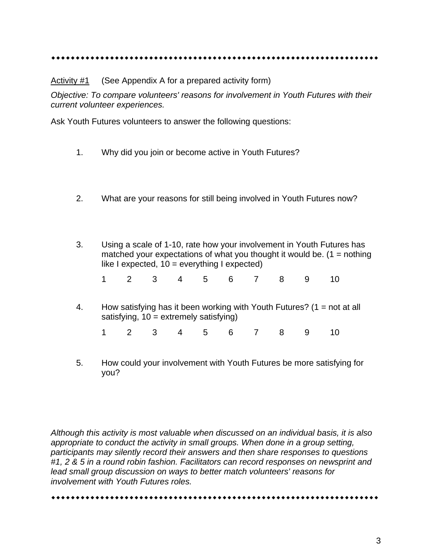#### !!!!!!!!!!!!!!!!!!!!!!!!!!!!!!!!!!!!!!!!!!!!!!!!!!!!!!!!!!!!!!!!!!!

Activity #1 (See Appendix A for a prepared activity form)

*Objective: To compare volunteers' reasons for involvement in Youth Futures with their current volunteer experiences.* 

Ask Youth Futures volunteers to answer the following questions:

- 1. Why did you join or become active in Youth Futures?
- 2. What are your reasons for still being involved in Youth Futures now?
- 3. Using a scale of 1-10, rate how your involvement in Youth Futures has matched your expectations of what you thought it would be.  $(1 = \text{nothing})$ like I expected,  $10 =$  everything I expected)

1 2 3 4 5 6 7 8 9 10

4. How satisfying has it been working with Youth Futures?  $(1 = not at all$ satisfying,  $10 =$  extremely satisfying)

1 2 3 4 5 6 7 8 9 10

5. How could your involvement with Youth Futures be more satisfying for you?

*Although this activity is most valuable when discussed on an individual basis, it is also*  appropriate to conduct the activity in small groups. When done in a group setting, *participants may silently record their answers and then share responses to questions #1, 2 & 5 in a round robin fashion. Facilitators can record responses on newsprint and lead small group discussion on ways to better match volunteers' reasons for involvement with Youth Futures roles.* 

!!!!!!!!!!!!!!!!!!!!!!!!!!!!!!!!!!!!!!!!!!!!!!!!!!!!!!!!!!!!!!!!!!!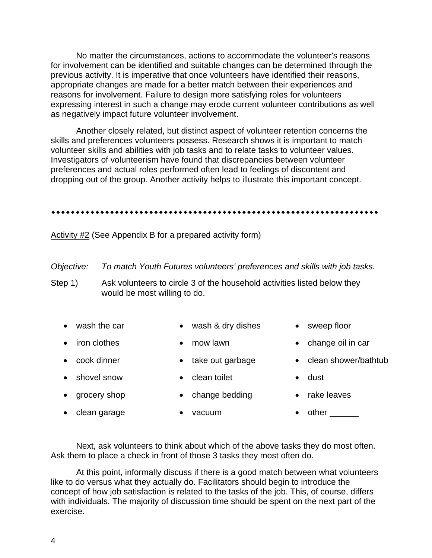No matter the circumstances, actions to accommodate the volunteer's reasons for involvement can be identified and suitable changes can be determined through the previous activity. It is imperative that once volunteers have identified their reasons, appropriate changes are made for a better match between their experiences and reasons for involvement. Failure to design more satisfying roles for volunteers expressing interest in such a change may erode current volunteer contributions as well as negatively impact future volunteer involvement.

Another closely related, but distinct aspect of volunteer retention concerns the skills and preferences volunteers possess. Research shows it is important to match volunteer skills and abilities with job tasks and to relate tasks to volunteer values. Investigators of volunteerism have found that discrepancies between volunteer preferences and actual roles performed often lead to feelings of discontent and dropping out of the group. Another activity helps to illustrate this important concept.

!!!!!!!!!!!!!!!!!!!!!!!!!!!!!!!!!!!!!!!!!!!!!!!!!!!!!!!!!!!!!!!!!!!

Activity #2 (See Appendix B for a prepared activity form)

*Objective: To match Youth Futures volunteers' preferences and skills with job tasks.* 

Step 1) Ask volunteers to circle 3 of the household activities listed below they would be most willing to do.

- wash the car
- iron clothes • mow lawn

• cook dinner

• shovel snow

• grocery shop

• clean garage

- take out garbage
- clean toilet

• vacuum

• change bedding

- wash & dry dishes sweep floor
	- change oil in car
	- clean shower/bathtub
	- dust
	- rake leaves
		- other
- Next, ask volunteers to think about which of the above tasks they do most often.

Ask them to place a check in front of those 3 tasks they most often do.

At this point, informally discuss if there is a good match between what volunteers like to do versus what they actually do. Facilitators should begin to introduce the concept of how job satisfaction is related to the tasks of the job. This, of course, differs with individuals. The majority of discussion time should be spent on the next part of the exercise.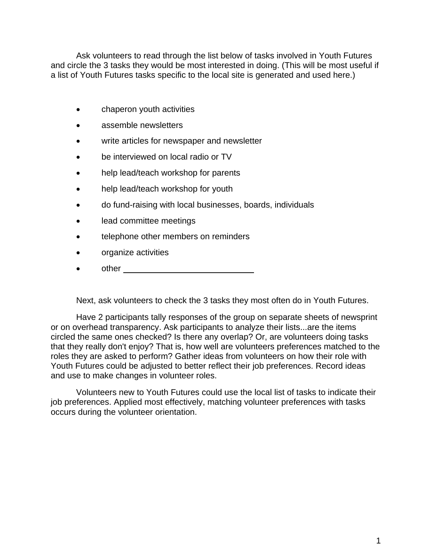Ask volunteers to read through the list below of tasks involved in Youth Futures and circle the 3 tasks they would be most interested in doing. (This will be most useful if a list of Youth Futures tasks specific to the local site is generated and used here.)

- chaperon youth activities
- assemble newsletters
- write articles for newspaper and newsletter
- be interviewed on local radio or TV
- help lead/teach workshop for parents
- help lead/teach workshop for youth
- do fund-raising with local businesses, boards, individuals
- lead committee meetings
- telephone other members on reminders
- organize activities
- $\bullet$  other  $\qquad \qquad$   $\bullet$  other  $\qquad \qquad$   $\qquad \qquad$   $\qquad \qquad$   $\qquad \qquad$   $\qquad \qquad$   $\qquad \qquad$   $\qquad \qquad$   $\qquad \qquad$   $\qquad \qquad$   $\qquad \qquad$   $\qquad \qquad$   $\qquad$   $\qquad \qquad$   $\qquad$   $\qquad \qquad$   $\qquad$   $\qquad$   $\qquad$   $\qquad$   $\qquad$   $\qquad$   $\qquad$   $\qquad$   $\qquad$   $\qquad$

Next, ask volunteers to check the 3 tasks they most often do in Youth Futures.

Have 2 participants tally responses of the group on separate sheets of newsprint or on overhead transparency. Ask participants to analyze their lists...are the items circled the same ones checked? Is there any overlap? Or, are volunteers doing tasks that they really don't enjoy? That is, how well are volunteers preferences matched to the roles they are asked to perform? Gather ideas from volunteers on how their role with Youth Futures could be adjusted to better reflect their job preferences. Record ideas and use to make changes in volunteer roles.

Volunteers new to Youth Futures could use the local list of tasks to indicate their job preferences. Applied most effectively, matching volunteer preferences with tasks occurs during the volunteer orientation.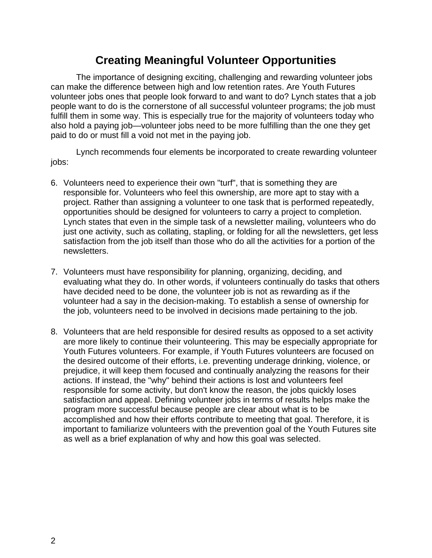### **Creating Meaningful Volunteer Opportunities**

The importance of designing exciting, challenging and rewarding volunteer jobs can make the difference between high and low retention rates. Are Youth Futures volunteer jobs ones that people look forward to and want to do? Lynch states that a job people want to do is the cornerstone of all successful volunteer programs; the job must fulfill them in some way. This is especially true for the majority of volunteers today who also hold a paying job—volunteer jobs need to be more fulfilling than the one they get paid to do or must fill a void not met in the paying job.

Lynch recommends four elements be incorporated to create rewarding volunteer jobs:

- 6. Volunteers need to experience their own "turf", that is something they are responsible for. Volunteers who feel this ownership, are more apt to stay with a project. Rather than assigning a volunteer to one task that is performed repeatedly, opportunities should be designed for volunteers to carry a project to completion. Lynch states that even in the simple task of a newsletter mailing, volunteers who do just one activity, such as collating, stapling, or folding for all the newsletters, get less satisfaction from the job itself than those who do all the activities for a portion of the newsletters.
- 7. Volunteers must have responsibility for planning, organizing, deciding, and evaluating what they do. In other words, if volunteers continually do tasks that others have decided need to be done, the volunteer job is not as rewarding as if the volunteer had a say in the decision-making. To establish a sense of ownership for the job, volunteers need to be involved in decisions made pertaining to the job.
- 8. Volunteers that are held responsible for desired results as opposed to a set activity are more likely to continue their volunteering. This may be especially appropriate for Youth Futures volunteers. For example, if Youth Futures volunteers are focused on the desired outcome of their efforts, i.e. preventing underage drinking, violence, or prejudice, it will keep them focused and continually analyzing the reasons for their actions. If instead, the "why" behind their actions is lost and volunteers feel responsible for some activity, but don't know the reason, the jobs quickly loses satisfaction and appeal. Defining volunteer jobs in terms of results helps make the program more successful because people are clear about what is to be accomplished and how their efforts contribute to meeting that goal. Therefore, it is important to familiarize volunteers with the prevention goal of the Youth Futures site as well as a brief explanation of why and how this goal was selected.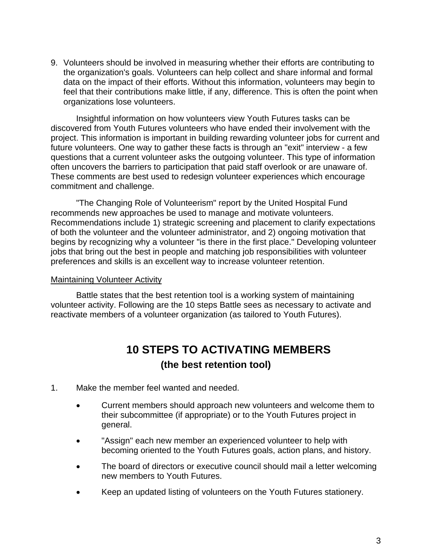9. Volunteers should be involved in measuring whether their efforts are contributing to the organization's goals. Volunteers can help collect and share informal and formal data on the impact of their efforts. Without this information, volunteers may begin to feel that their contributions make little, if any, difference. This is often the point when organizations lose volunteers.

Insightful information on how volunteers view Youth Futures tasks can be discovered from Youth Futures volunteers who have ended their involvement with the project. This information is important in building rewarding volunteer jobs for current and future volunteers. One way to gather these facts is through an "exit" interview - a few questions that a current volunteer asks the outgoing volunteer. This type of information often uncovers the barriers to participation that paid staff overlook or are unaware of. These comments are best used to redesign volunteer experiences which encourage commitment and challenge.

"The Changing Role of Volunteerism" report by the United Hospital Fund recommends new approaches be used to manage and motivate volunteers. Recommendations include 1) strategic screening and placement to clarify expectations of both the volunteer and the volunteer administrator, and 2) ongoing motivation that begins by recognizing why a volunteer "is there in the first place." Developing volunteer jobs that bring out the best in people and matching job responsibilities with volunteer preferences and skills is an excellent way to increase volunteer retention.

#### Maintaining Volunteer Activity

Battle states that the best retention tool is a working system of maintaining volunteer activity. Following are the 10 steps Battle sees as necessary to activate and reactivate members of a volunteer organization (as tailored to Youth Futures).

# **10 STEPS TO ACTIVATING MEMBERS (the best retention tool)**

- 1. Make the member feel wanted and needed.
	- Current members should approach new volunteers and welcome them to their subcommittee (if appropriate) or to the Youth Futures project in general.
	- "Assign" each new member an experienced volunteer to help with becoming oriented to the Youth Futures goals, action plans, and history.
	- The board of directors or executive council should mail a letter welcoming new members to Youth Futures.
	- Keep an updated listing of volunteers on the Youth Futures stationery.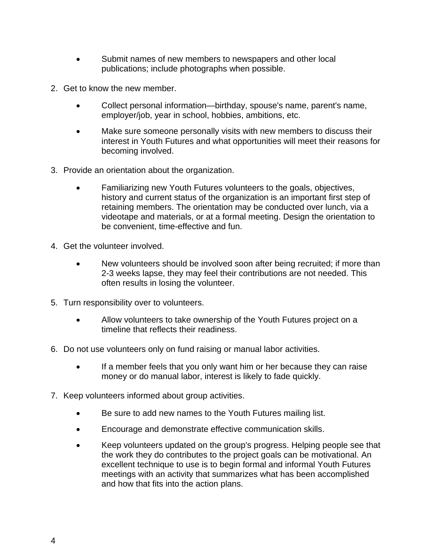- Submit names of new members to newspapers and other local publications; include photographs when possible.
- 2. Get to know the new member.
	- Collect personal information—birthday, spouse's name, parent's name, employer/job, year in school, hobbies, ambitions, etc.
	- Make sure someone personally visits with new members to discuss their interest in Youth Futures and what opportunities will meet their reasons for becoming involved.
- 3. Provide an orientation about the organization.
	- Familiarizing new Youth Futures volunteers to the goals, objectives, history and current status of the organization is an important first step of retaining members. The orientation may be conducted over lunch, via a videotape and materials, or at a formal meeting. Design the orientation to be convenient, time-effective and fun.
- 4. Get the volunteer involved.
	- New volunteers should be involved soon after being recruited; if more than 2-3 weeks lapse, they may feel their contributions are not needed. This often results in losing the volunteer.
- 5. Turn responsibility over to volunteers.
	- Allow volunteers to take ownership of the Youth Futures project on a timeline that reflects their readiness.
- 6. Do not use volunteers only on fund raising or manual labor activities.
	- If a member feels that you only want him or her because they can raise money or do manual labor, interest is likely to fade quickly.
- 7. Keep volunteers informed about group activities.
	- Be sure to add new names to the Youth Futures mailing list.
	- Encourage and demonstrate effective communication skills.
	- Keep volunteers updated on the group's progress. Helping people see that the work they do contributes to the project goals can be motivational. An excellent technique to use is to begin formal and informal Youth Futures meetings with an activity that summarizes what has been accomplished and how that fits into the action plans.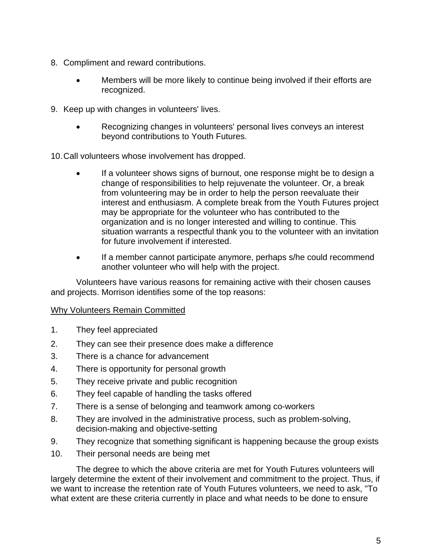- 8. Compliment and reward contributions.
	- Members will be more likely to continue being involved if their efforts are recognized.
- 9. Keep up with changes in volunteers' lives.
	- Recognizing changes in volunteers' personal lives conveys an interest beyond contributions to Youth Futures.

10. Call volunteers whose involvement has dropped.

- If a volunteer shows signs of burnout, one response might be to design a change of responsibilities to help rejuvenate the volunteer. Or, a break from volunteering may be in order to help the person reevaluate their interest and enthusiasm. A complete break from the Youth Futures project may be appropriate for the volunteer who has contributed to the organization and is no longer interested and willing to continue. This situation warrants a respectful thank you to the volunteer with an invitation for future involvement if interested.
- If a member cannot participate anymore, perhaps s/he could recommend another volunteer who will help with the project.

Volunteers have various reasons for remaining active with their chosen causes and projects. Morrison identifies some of the top reasons:

#### Why Volunteers Remain Committed

- 1. They feel appreciated
- 2. They can see their presence does make a difference
- 3. There is a chance for advancement
- 4. There is opportunity for personal growth
- 5. They receive private and public recognition
- 6. They feel capable of handling the tasks offered
- 7. There is a sense of belonging and teamwork among co-workers
- 8. They are involved in the administrative process, such as problem-solving, decision-making and objective-setting
- 9. They recognize that something significant is happening because the group exists
- 10. Their personal needs are being met

The degree to which the above criteria are met for Youth Futures volunteers will largely determine the extent of their involvement and commitment to the project. Thus, if we want to increase the retention rate of Youth Futures volunteers, we need to ask, "To what extent are these criteria currently in place and what needs to be done to ensure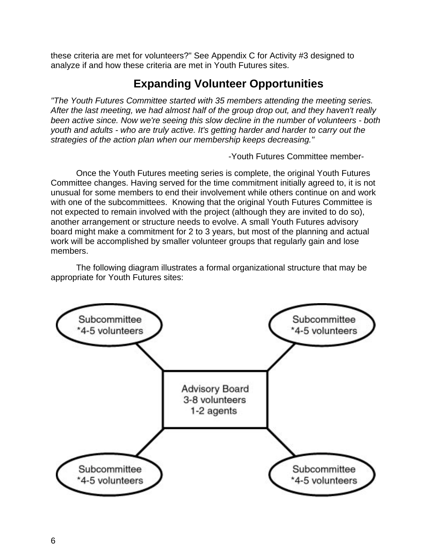these criteria are met for volunteers?" See Appendix C for Activity #3 designed to analyze if and how these criteria are met in Youth Futures sites.

### **Expanding Volunteer Opportunities**

*"The Youth Futures Committee started with 35 members attending the meeting series. After the last meeting, we had almost half of the group drop out, and they haven't really been active since. Now we're seeing this slow decline in the number of volunteers - both youth and adults - who are truly active. It's getting harder and harder to carry out the strategies of the action plan when our membership keeps decreasing."* 

-Youth Futures Committee member-

Once the Youth Futures meeting series is complete, the original Youth Futures Committee changes. Having served for the time commitment initially agreed to, it is not unusual for some members to end their involvement while others continue on and work with one of the subcommittees. Knowing that the original Youth Futures Committee is not expected to remain involved with the project (although they are invited to do so), another arrangement or structure needs to evolve. A small Youth Futures advisory board might make a commitment for 2 to 3 years, but most of the planning and actual work will be accomplished by smaller volunteer groups that regularly gain and lose members.

The following diagram illustrates a formal organizational structure that may be appropriate for Youth Futures sites:

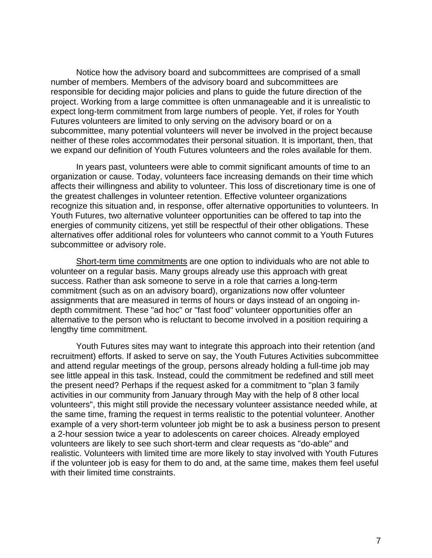Notice how the advisory board and subcommittees are comprised of a small number of members. Members of the advisory board and subcommittees are responsible for deciding major policies and plans to guide the future direction of the project. Working from a large committee is often unmanageable and it is unrealistic to expect long-term commitment from large numbers of people. Yet, if roles for Youth Futures volunteers are limited to only serving on the advisory board or on a subcommittee, many potential volunteers will never be involved in the project because neither of these roles accommodates their personal situation. It is important, then, that we expand our definition of Youth Futures volunteers and the roles available for them.

In years past, volunteers were able to commit significant amounts of time to an organization or cause. Today, volunteers face increasing demands on their time which affects their willingness and ability to volunteer. This loss of discretionary time is one of the greatest challenges in volunteer retention. Effective volunteer organizations recognize this situation and, in response, offer alternative opportunities to volunteers. In Youth Futures, two alternative volunteer opportunities can be offered to tap into the energies of community citizens, yet still be respectful of their other obligations. These alternatives offer additional roles for volunteers who cannot commit to a Youth Futures subcommittee or advisory role.

Short-term time commitments are one option to individuals who are not able to volunteer on a regular basis. Many groups already use this approach with great success. Rather than ask someone to serve in a role that carries a long-term commitment (such as on an advisory board), organizations now offer volunteer assignments that are measured in terms of hours or days instead of an ongoing indepth commitment. These "ad hoc" or "fast food" volunteer opportunities offer an alternative to the person who is reluctant to become involved in a position requiring a lengthy time commitment.

Youth Futures sites may want to integrate this approach into their retention (and recruitment) efforts. If asked to serve on say, the Youth Futures Activities subcommittee and attend regular meetings of the group, persons already holding a full-time job may see little appeal in this task. Instead, could the commitment be redefined and still meet the present need? Perhaps if the request asked for a commitment to "plan 3 family activities in our community from January through May with the help of 8 other local volunteers", this might still provide the necessary volunteer assistance needed while, at the same time, framing the request in terms realistic to the potential volunteer. Another example of a very short-term volunteer job might be to ask a business person to present a 2-hour session twice a year to adolescents on career choices. Already employed volunteers are likely to see such short-term and clear requests as "do-able" and realistic. Volunteers with limited time are more likely to stay involved with Youth Futures if the volunteer job is easy for them to do and, at the same time, makes them feel useful with their limited time constraints.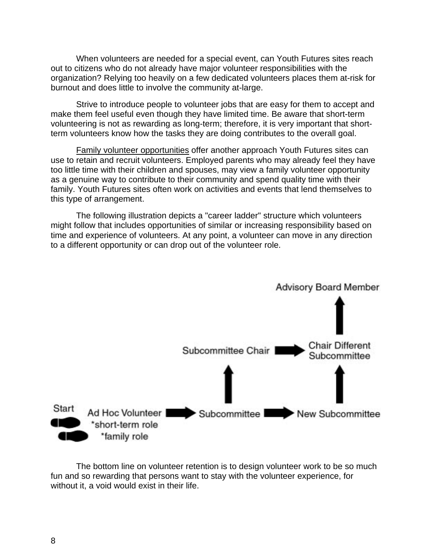When volunteers are needed for a special event, can Youth Futures sites reach out to citizens who do not already have major volunteer responsibilities with the organization? Relying too heavily on a few dedicated volunteers places them at-risk for burnout and does little to involve the community at-large.

Strive to introduce people to volunteer jobs that are easy for them to accept and make them feel useful even though they have limited time. Be aware that short-term volunteering is not as rewarding as long-term; therefore, it is very important that shortterm volunteers know how the tasks they are doing contributes to the overall goal.

Family volunteer opportunities offer another approach Youth Futures sites can use to retain and recruit volunteers. Employed parents who may already feel they have too little time with their children and spouses, may view a family volunteer opportunity as a genuine way to contribute to their community and spend quality time with their family. Youth Futures sites often work on activities and events that lend themselves to this type of arrangement.

The following illustration depicts a "career ladder" structure which volunteers might follow that includes opportunities of similar or increasing responsibility based on time and experience of volunteers. At any point, a volunteer can move in any direction to a different opportunity or can drop out of the volunteer role.



The bottom line on volunteer retention is to design volunteer work to be so much fun and so rewarding that persons want to stay with the volunteer experience, for without it, a void would exist in their life.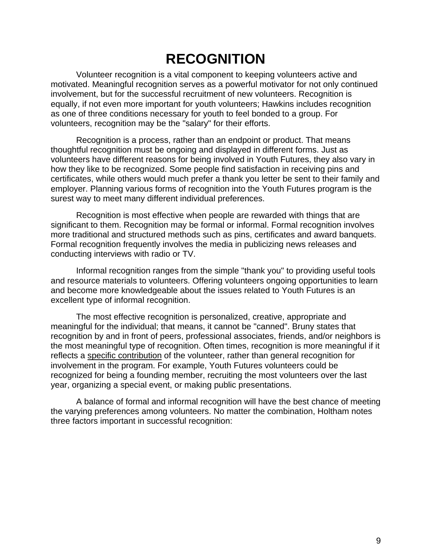# **RECOGNITION**

Volunteer recognition is a vital component to keeping volunteers active and motivated. Meaningful recognition serves as a powerful motivator for not only continued involvement, but for the successful recruitment of new volunteers. Recognition is equally, if not even more important for youth volunteers; Hawkins includes recognition as one of three conditions necessary for youth to feel bonded to a group. For volunteers, recognition may be the "salary" for their efforts.

Recognition is a process, rather than an endpoint or product. That means thoughtful recognition must be ongoing and displayed in different forms. Just as volunteers have different reasons for being involved in Youth Futures, they also vary in how they like to be recognized. Some people find satisfaction in receiving pins and certificates, while others would much prefer a thank you letter be sent to their family and employer. Planning various forms of recognition into the Youth Futures program is the surest way to meet many different individual preferences.

Recognition is most effective when people are rewarded with things that are significant to them. Recognition may be formal or informal. Formal recognition involves more traditional and structured methods such as pins, certificates and award banquets. Formal recognition frequently involves the media in publicizing news releases and conducting interviews with radio or TV.

Informal recognition ranges from the simple "thank you" to providing useful tools and resource materials to volunteers. Offering volunteers ongoing opportunities to learn and become more knowledgeable about the issues related to Youth Futures is an excellent type of informal recognition.

The most effective recognition is personalized, creative, appropriate and meaningful for the individual; that means, it cannot be "canned". Bruny states that recognition by and in front of peers, professional associates, friends, and/or neighbors is the most meaningful type of recognition. Often times, recognition is more meaningful if it reflects a specific contribution of the volunteer, rather than general recognition for involvement in the program. For example, Youth Futures volunteers could be recognized for being a founding member, recruiting the most volunteers over the last year, organizing a special event, or making public presentations.

A balance of formal and informal recognition will have the best chance of meeting the varying preferences among volunteers. No matter the combination, Holtham notes three factors important in successful recognition: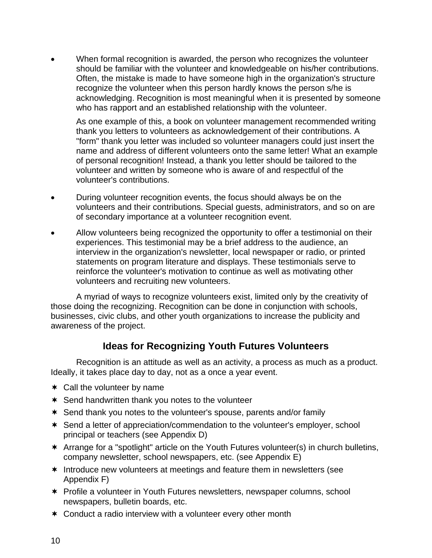• When formal recognition is awarded, the person who recognizes the volunteer should be familiar with the volunteer and knowledgeable on his/her contributions. Often, the mistake is made to have someone high in the organization's structure recognize the volunteer when this person hardly knows the person s/he is acknowledging. Recognition is most meaningful when it is presented by someone who has rapport and an established relationship with the volunteer.

As one example of this, a book on volunteer management recommended writing thank you letters to volunteers as acknowledgement of their contributions. A "form" thank you letter was included so volunteer managers could just insert the name and address of different volunteers onto the same letter! What an example of personal recognition! Instead, a thank you letter should be tailored to the volunteer and written by someone who is aware of and respectful of the volunteer's contributions.

- During volunteer recognition events, the focus should always be on the volunteers and their contributions. Special guests, administrators, and so on are of secondary importance at a volunteer recognition event.
- Allow volunteers being recognized the opportunity to offer a testimonial on their experiences. This testimonial may be a brief address to the audience, an interview in the organization's newsletter, local newspaper or radio, or printed statements on program literature and displays. These testimonials serve to reinforce the volunteer's motivation to continue as well as motivating other volunteers and recruiting new volunteers.

A myriad of ways to recognize volunteers exist, limited only by the creativity of those doing the recognizing. Recognition can be done in conjunction with schools, businesses, civic clubs, and other youth organizations to increase the publicity and awareness of the project.

### **Ideas for Recognizing Youth Futures Volunteers**

Recognition is an attitude as well as an activity, a process as much as a product. Ideally, it takes place day to day, not as a once a year event.

- $*$  Call the volunteer by name
- $*$  Send handwritten thank you notes to the volunteer
- $*$  Send thank you notes to the volunteer's spouse, parents and/or family
- \* Send a letter of appreciation/commendation to the volunteer's employer, school principal or teachers (see Appendix D)
- \* Arrange for a "spotlight" article on the Youth Futures volunteer(s) in church bulletins, company newsletter, school newspapers, etc. (see Appendix E)
- \* Introduce new volunteers at meetings and feature them in newsletters (see Appendix F)
- \* Profile a volunteer in Youth Futures newsletters, newspaper columns, school newspapers, bulletin boards, etc.
- $*$  Conduct a radio interview with a volunteer every other month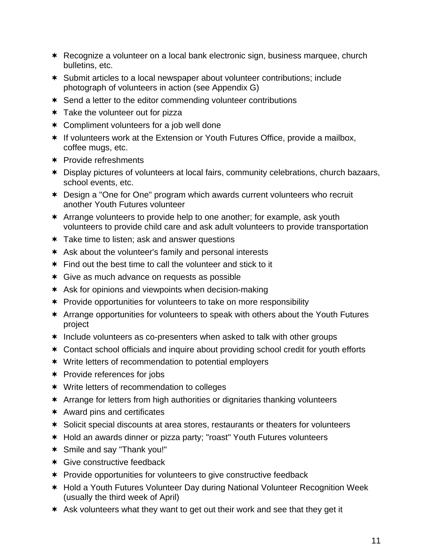- $*$  Recognize a volunteer on a local bank electronic sign, business marquee, church bulletins, etc.
- \* Submit articles to a local newspaper about volunteer contributions; include photograph of volunteers in action (see Appendix G)
- $*$  Send a letter to the editor commending volunteer contributions
- $*$  Take the volunteer out for pizza
- $*$  Compliment volunteers for a job well done
- \* If volunteers work at the Extension or Youth Futures Office, provide a mailbox, coffee mugs, etc.
- $*$  Provide refreshments
- \* Display pictures of volunteers at local fairs, community celebrations, church bazaars, school events, etc.
- \* Design a "One for One" program which awards current volunteers who recruit another Youth Futures volunteer
- \* Arrange volunteers to provide help to one another; for example, ask youth volunteers to provide child care and ask adult volunteers to provide transportation
- $*$  Take time to listen; ask and answer questions
- \* Ask about the volunteer's family and personal interests
- $*$  Find out the best time to call the volunteer and stick to it
- $*$  Give as much advance on requests as possible
- \* Ask for opinions and viewpoints when decision-making
- \* Provide opportunities for volunteers to take on more responsibility
- \* Arrange opportunities for volunteers to speak with others about the Youth Futures project
- $*$  Include volunteers as co-presenters when asked to talk with other groups
- \* Contact school officials and inquire about providing school credit for youth efforts
- \* Write letters of recommendation to potential employers
- $*$  Provide references for jobs
- \* Write letters of recommendation to colleges
- \* Arrange for letters from high authorities or dignitaries thanking volunteers
- $*$  Award pins and certificates
- \* Solicit special discounts at area stores, restaurants or theaters for volunteers
- \* Hold an awards dinner or pizza party; "roast" Youth Futures volunteers
- " Smile and say "Thank you!"
- $*$  Give constructive feedback
- \* Provide opportunities for volunteers to give constructive feedback
- \* Hold a Youth Futures Volunteer Day during National Volunteer Recognition Week (usually the third week of April)
- \* Ask volunteers what they want to get out their work and see that they get it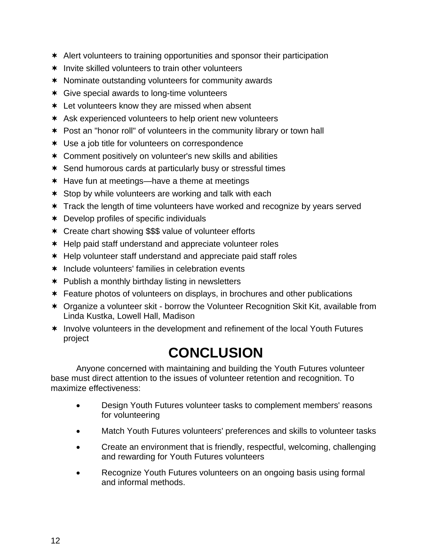- $*$  Alert volunteers to training opportunities and sponsor their participation
- $*$  Invite skilled volunteers to train other volunteers
- $*$  Nominate outstanding volunteers for community awards
- $*$  Give special awards to long-time volunteers
- $*$  Let volunteers know they are missed when absent
- \* Ask experienced volunteers to help orient new volunteers
- \* Post an "honor roll" of volunteers in the community library or town hall
- \* Use a job title for volunteers on correspondence
- \* Comment positively on volunteer's new skills and abilities
- \* Send humorous cards at particularly busy or stressful times
- $*$  Have fun at meetings—have a theme at meetings
- $*$  Stop by while volunteers are working and talk with each
- $*$  Track the length of time volunteers have worked and recognize by years served
- \* Develop profiles of specific individuals
- \* Create chart showing \$\$\$ value of volunteer efforts
- \* Help paid staff understand and appreciate volunteer roles
- $*$  Help volunteer staff understand and appreciate paid staff roles
- $*$  Include volunteers' families in celebration events
- $*$  Publish a monthly birthday listing in newsletters
- $*$  Feature photos of volunteers on displays, in brochures and other publications
- \* Organize a volunteer skit borrow the Volunteer Recognition Skit Kit, available from Linda Kustka, Lowell Hall, Madison
- \* Involve volunteers in the development and refinement of the local Youth Futures project

# **CONCLUSION**

Anyone concerned with maintaining and building the Youth Futures volunteer base must direct attention to the issues of volunteer retention and recognition. To maximize effectiveness:

- Design Youth Futures volunteer tasks to complement members' reasons for volunteering
- Match Youth Futures volunteers' preferences and skills to volunteer tasks
- Create an environment that is friendly, respectful, welcoming, challenging and rewarding for Youth Futures volunteers
- Recognize Youth Futures volunteers on an ongoing basis using formal and informal methods.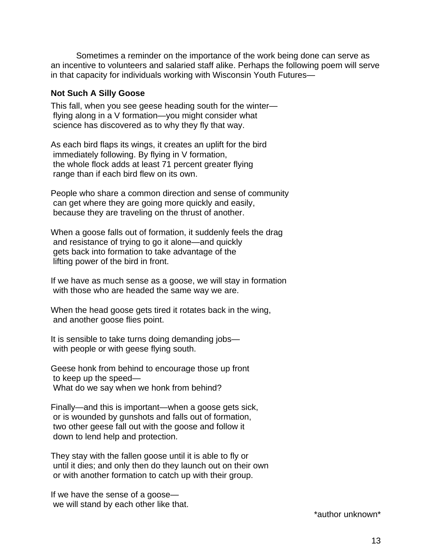Sometimes a reminder on the importance of the work being done can serve as an incentive to volunteers and salaried staff alike. Perhaps the following poem will serve in that capacity for individuals working with Wisconsin Youth Futures—

#### **Not Such A Silly Goose**

This fall, when you see geese heading south for the winter flying along in a V formation—you might consider what science has discovered as to why they fly that way.

As each bird flaps its wings, it creates an uplift for the bird immediately following. By flying in V formation, the whole flock adds at least 71 percent greater flying range than if each bird flew on its own.

People who share a common direction and sense of community can get where they are going more quickly and easily, because they are traveling on the thrust of another.

When a goose falls out of formation, it suddenly feels the drag and resistance of trying to go it alone—and quickly gets back into formation to take advantage of the lifting power of the bird in front.

If we have as much sense as a goose, we will stay in formation with those who are headed the same way we are.

When the head goose gets tired it rotates back in the wing, and another goose flies point.

It is sensible to take turns doing demanding jobs with people or with geese flying south.

Geese honk from behind to encourage those up front to keep up the speed— What do we say when we honk from behind?

Finally—and this is important—when a goose gets sick, or is wounded by gunshots and falls out of formation, two other geese fall out with the goose and follow it down to lend help and protection.

They stay with the fallen goose until it is able to fly or until it dies; and only then do they launch out on their own or with another formation to catch up with their group.

If we have the sense of a goose we will stand by each other like that.

\*author unknown\*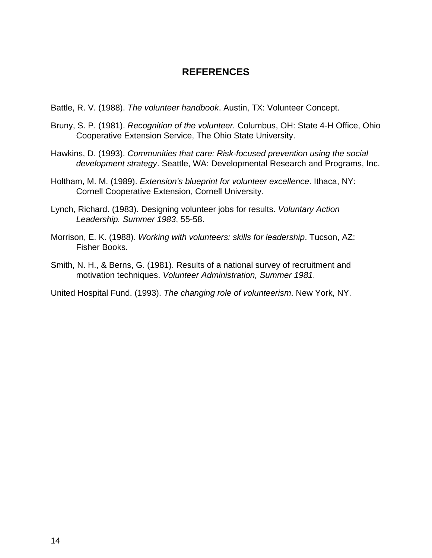#### **REFERENCES**

- Battle, R. V. (1988). *The volunteer handbook*. Austin, TX: Volunteer Concept.
- Bruny, S. P. (1981). *Recognition of the volunteer.* Columbus, OH: State 4-H Office, Ohio Cooperative Extension Service, The Ohio State University.
- Hawkins, D. (1993). *Communities that care: Risk-focused prevention using the social development strategy*. Seattle, WA: Developmental Research and Programs, Inc.
- Holtham, M. M. (1989). *Extension's blueprint for volunteer excellence*. Ithaca, NY: Cornell Cooperative Extension, Cornell University.
- Lynch, Richard. (1983). Designing volunteer jobs for results. *Voluntary Action Leadership. Summer 1983*, 55-58.
- Morrison, E. K. (1988). *Working with volunteers: skills for leadership*. Tucson, AZ: Fisher Books.
- Smith, N. H., & Berns, G. (1981). Results of a national survey of recruitment and motivation techniques. *Volunteer Administration, Summer 1981*.

United Hospital Fund. (1993). *The changing role of volunteerism*. New York, NY.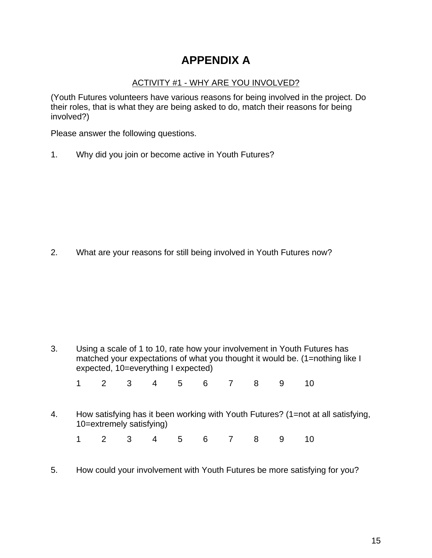# **APPENDIX A**

#### ACTIVITY #1 - WHY ARE YOU INVOLVED?

(Youth Futures volunteers have various reasons for being involved in the project. Do their roles, that is what they are being asked to do, match their reasons for being involved?)

Please answer the following questions.

1. Why did you join or become active in Youth Futures?

2. What are your reasons for still being involved in Youth Futures now?

3. Using a scale of 1 to 10, rate how your involvement in Youth Futures has matched your expectations of what you thought it would be. (1=nothing like I expected, 10=everything I expected)

1 2 3 4 5 6 7 8 9 10

4. How satisfying has it been working with Youth Futures? (1=not at all satisfying, 10=extremely satisfying)

1 2 3 4 5 6 7 8 9 10

5. How could your involvement with Youth Futures be more satisfying for you?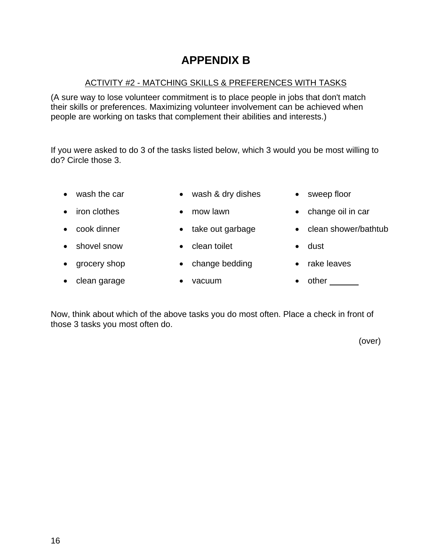# **APPENDIX B**

#### ACTIVITY #2 - MATCHING SKILLS & PREFERENCES WITH TASKS

(A sure way to lose volunteer commitment is to place people in jobs that don't match their skills or preferences. Maximizing volunteer involvement can be achieved when people are working on tasks that complement their abilities and interests.)

If you were asked to do 3 of the tasks listed below, which 3 would you be most willing to do? Circle those 3.

- wash the car
- wash & dry dishes sweep floor
- 

- iron clothes • mow lawn
	- take out garbage

• change bedding

• shovel snow

• cook dinner

- clean toilet
- grocery shop
- clean garage
- vacuum
- change oil in car
- clean shower/bathtub
	- dust
	- rake leaves
	- $\bullet$  other  $\_\_\_\_\_\_\_\_\_$

Now, think about which of the above tasks you do most often. Place a check in front of those 3 tasks you most often do.

(over)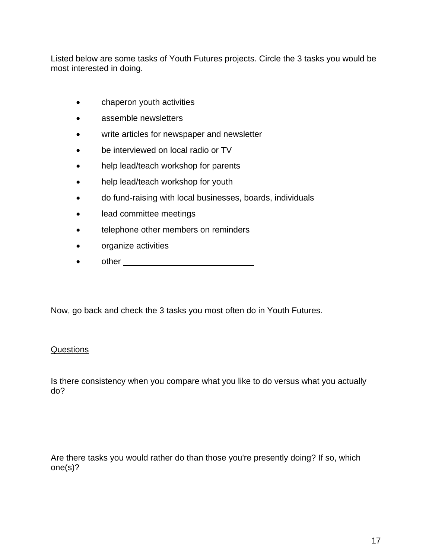Listed below are some tasks of Youth Futures projects. Circle the 3 tasks you would be most interested in doing.

- chaperon youth activities
- assemble newsletters
- write articles for newspaper and newsletter
- be interviewed on local radio or TV
- help lead/teach workshop for parents
- help lead/teach workshop for youth
- do fund-raising with local businesses, boards, individuals
- lead committee meetings
- telephone other members on reminders
- organize activities
- other

Now, go back and check the 3 tasks you most often do in Youth Futures.

#### Questions

Is there consistency when you compare what you like to do versus what you actually do?

Are there tasks you would rather do than those you're presently doing? If so, which one(s)?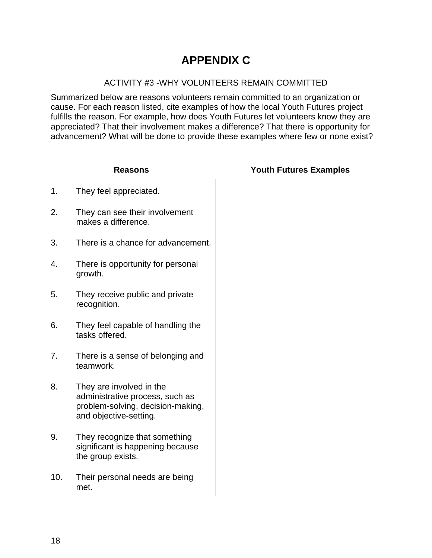# **APPENDIX C**

#### ACTIVITY #3 -WHY VOLUNTEERS REMAIN COMMITTED

Summarized below are reasons volunteers remain committed to an organization or cause. For each reason listed, cite examples of how the local Youth Futures project fulfills the reason. For example, how does Youth Futures let volunteers know they are appreciated? That their involvement makes a difference? That there is opportunity for advancement? What will be done to provide these examples where few or none exist?

|                | <b>Reasons</b>                                                                                                             | <b>Youth Futures Examples</b> |
|----------------|----------------------------------------------------------------------------------------------------------------------------|-------------------------------|
| 1 <sub>1</sub> | They feel appreciated.                                                                                                     |                               |
| 2.             | They can see their involvement<br>makes a difference.                                                                      |                               |
| 3.             | There is a chance for advancement.                                                                                         |                               |
| 4.             | There is opportunity for personal<br>growth.                                                                               |                               |
| 5.             | They receive public and private<br>recognition.                                                                            |                               |
| 6.             | They feel capable of handling the<br>tasks offered.                                                                        |                               |
| 7.             | There is a sense of belonging and<br>teamwork.                                                                             |                               |
| 8.             | They are involved in the<br>administrative process, such as<br>problem-solving, decision-making,<br>and objective-setting. |                               |
| 9.             | They recognize that something<br>significant is happening because<br>the group exists.                                     |                               |
| 10.            | Their personal needs are being<br>met.                                                                                     |                               |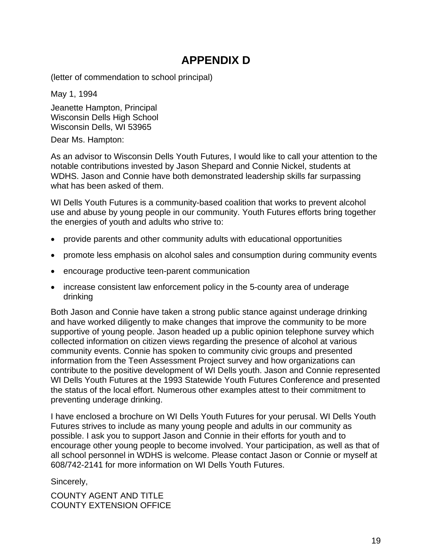### **APPENDIX D**

(letter of commendation to school principal)

May 1, 1994

Jeanette Hampton, Principal Wisconsin Dells High School Wisconsin Dells, WI 53965

Dear Ms. Hampton:

As an advisor to Wisconsin Dells Youth Futures, I would like to call your attention to the notable contributions invested by Jason Shepard and Connie Nickel, students at WDHS. Jason and Connie have both demonstrated leadership skills far surpassing what has been asked of them.

WI Dells Youth Futures is a community-based coalition that works to prevent alcohol use and abuse by young people in our community. Youth Futures efforts bring together the energies of youth and adults who strive to:

- provide parents and other community adults with educational opportunities
- promote less emphasis on alcohol sales and consumption during community events
- encourage productive teen-parent communication
- increase consistent law enforcement policy in the 5-county area of underage drinking

Both Jason and Connie have taken a strong public stance against underage drinking and have worked diligently to make changes that improve the community to be more supportive of young people. Jason headed up a public opinion telephone survey which collected information on citizen views regarding the presence of alcohol at various community events. Connie has spoken to community civic groups and presented information from the Teen Assessment Project survey and how organizations can contribute to the positive development of WI Dells youth. Jason and Connie represented WI Dells Youth Futures at the 1993 Statewide Youth Futures Conference and presented the status of the local effort. Numerous other examples attest to their commitment to preventing underage drinking.

I have enclosed a brochure on WI Dells Youth Futures for your perusal. WI Dells Youth Futures strives to include as many young people and adults in our community as possible. I ask you to support Jason and Connie in their efforts for youth and to encourage other young people to become involved. Your participation, as well as that of all school personnel in WDHS is welcome. Please contact Jason or Connie or myself at 608/742-2141 for more information on WI Dells Youth Futures.

Sincerely,

COUNTY AGENT AND TITLE COUNTY EXTENSION OFFICE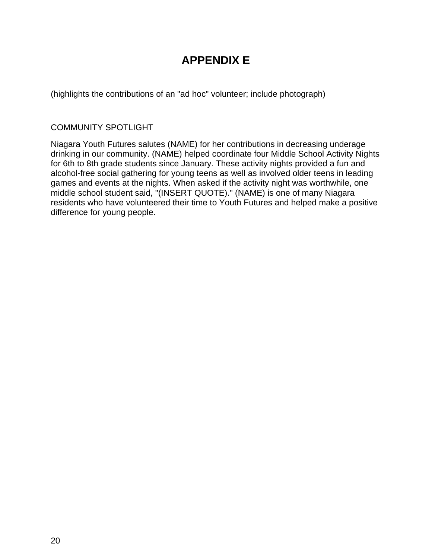# **APPENDIX E**

(highlights the contributions of an "ad hoc" volunteer; include photograph)

#### COMMUNITY SPOTLIGHT

Niagara Youth Futures salutes (NAME) for her contributions in decreasing underage drinking in our community. (NAME) helped coordinate four Middle School Activity Nights for 6th to 8th grade students since January. These activity nights provided a fun and alcohol-free social gathering for young teens as well as involved older teens in leading games and events at the nights. When asked if the activity night was worthwhile, one middle school student said, "(INSERT QUOTE)." (NAME) is one of many Niagara residents who have volunteered their time to Youth Futures and helped make a positive difference for young people.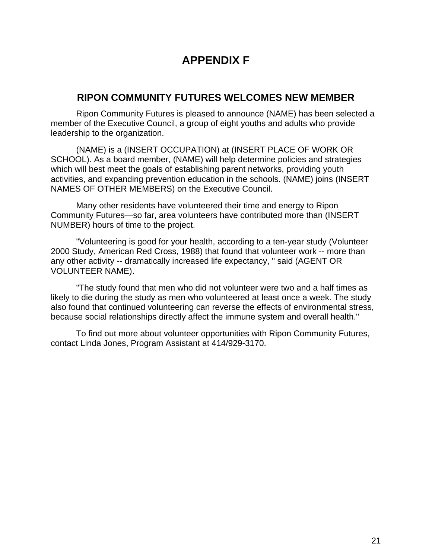# **APPENDIX F**

#### **RIPON COMMUNITY FUTURES WELCOMES NEW MEMBER**

Ripon Community Futures is pleased to announce (NAME) has been selected a member of the Executive Council, a group of eight youths and adults who provide leadership to the organization.

(NAME) is a (INSERT OCCUPATION) at (INSERT PLACE OF WORK OR SCHOOL). As a board member, (NAME) will help determine policies and strategies which will best meet the goals of establishing parent networks, providing youth activities, and expanding prevention education in the schools. (NAME) joins (INSERT NAMES OF OTHER MEMBERS) on the Executive Council.

Many other residents have volunteered their time and energy to Ripon Community Futures—so far, area volunteers have contributed more than (INSERT NUMBER) hours of time to the project.

"Volunteering is good for your health, according to a ten-year study (Volunteer 2000 Study, American Red Cross, 1988) that found that volunteer work -- more than any other activity -- dramatically increased life expectancy, " said (AGENT OR VOLUNTEER NAME).

"The study found that men who did not volunteer were two and a half times as likely to die during the study as men who volunteered at least once a week. The study also found that continued volunteering can reverse the effects of environmental stress, because social relationships directly affect the immune system and overall health."

To find out more about volunteer opportunities with Ripon Community Futures, contact Linda Jones, Program Assistant at 414/929-3170.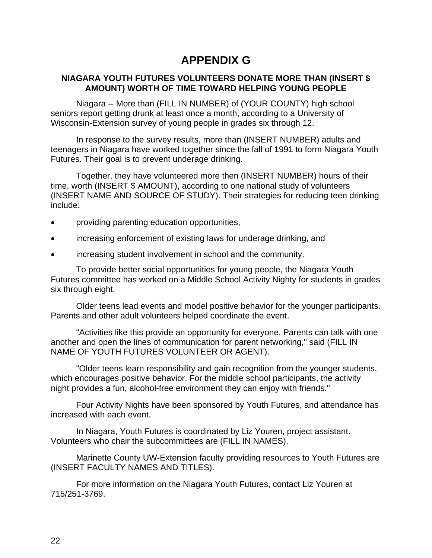# **APPENDIX G**

#### **NIAGARA YOUTH FUTURES VOLUNTEERS DONATE MORE THAN (INSERT \$ AMOUNT) WORTH OF TIME TOWARD HELPING YOUNG PEOPLE**

Niagara -- More than (FILL IN NUMBER) of (YOUR COUNTY) high school seniors report getting drunk at least once a month, according to a University of Wisconsin-Extension survey of young people in grades six through 12.

In response to the survey results, more than (INSERT NUMBER) adults and teenagers in Niagara have worked together since the fall of 1991 to form Niagara Youth Futures. Their goal is to prevent underage drinking.

Together, they have volunteered more then (INSERT NUMBER) hours of their time, worth (INSERT \$ AMOUNT), according to one national study of volunteers (INSERT NAME AND SOURCE OF STUDY). Their strategies for reducing teen drinking include:

- providing parenting education opportunities,
- increasing enforcement of existing laws for underage drinking, and
- increasing student involvement in school and the community.

To provide better social opportunities for young people, the Niagara Youth Futures committee has worked on a Middle School Activity Nighty for students in grades six through eight.

Older teens lead events and model positive behavior for the younger participants. Parents and other adult volunteers helped coordinate the event.

"Activities like this provide an opportunity for everyone. Parents can talk with one another and open the lines of communication for parent networking," said (FILL IN NAME OF YOUTH FUTURES VOLUNTEER OR AGENT).

"Older teens learn responsibility and gain recognition from the younger students, which encourages positive behavior. For the middle school participants, the activity night provides a fun, alcohol-free environment they can enjoy with friends."

Four Activity Nights have been sponsored by Youth Futures, and attendance has increased with each event.

In Niagara, Youth Futures is coordinated by Liz Youren, project assistant. Volunteers who chair the subcommittees are (FILL IN NAMES).

Marinette County UW-Extension faculty providing resources to Youth Futures are (INSERT FACULTY NAMES AND TITLES).

For more information on the Niagara Youth Futures, contact Liz Youren at 715/251-3769.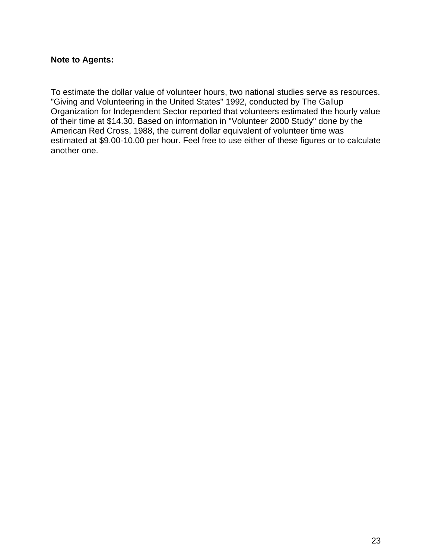#### **Note to Agents:**

To estimate the dollar value of volunteer hours, two national studies serve as resources. "Giving and Volunteering in the United States" 1992, conducted by The Gallup Organization for Independent Sector reported that volunteers estimated the hourly value of their time at \$14.30. Based on information in "Volunteer 2000 Study" done by the American Red Cross, 1988, the current dollar equivalent of volunteer time was estimated at \$9.00-10.00 per hour. Feel free to use either of these figures or to calculate another one.